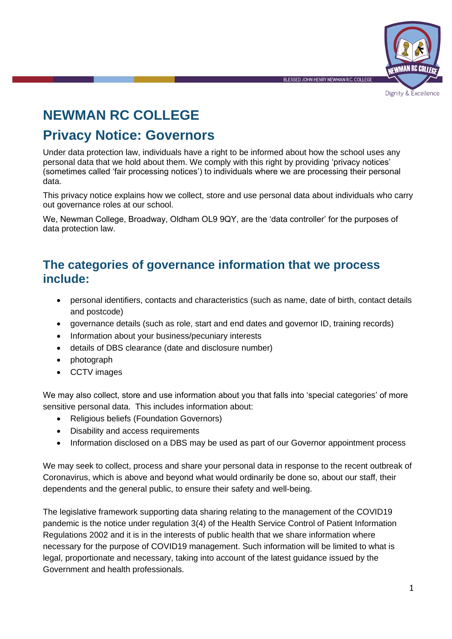

Dignity & Excellence

# **NEWMAN RC COLLEGE**

# **Privacy Notice: Governors**

Under data protection law, individuals have a right to be informed about how the school uses any personal data that we hold about them. We comply with this right by providing 'privacy notices' (sometimes called 'fair processing notices') to individuals where we are processing their personal data.

This privacy notice explains how we collect, store and use personal data about individuals who carry out governance roles at our school.

We, Newman College, Broadway, Oldham OL9 9QY, are the 'data controller' for the purposes of data protection law.

## **The categories of governance information that we process include:**

- personal identifiers, contacts and characteristics (such as name, date of birth, contact details and postcode)
- governance details (such as role, start and end dates and governor ID, training records)
- Information about your business/pecuniary interests
- details of DBS clearance (date and disclosure number)
- photograph
- CCTV images

We may also collect, store and use information about you that falls into 'special categories' of more sensitive personal data. This includes information about:

- Religious beliefs (Foundation Governors)
- Disability and access requirements
- Information disclosed on a DBS may be used as part of our Governor appointment process

We may seek to collect, process and share your personal data in response to the recent outbreak of Coronavirus, which is above and beyond what would ordinarily be done so, about our staff, their dependents and the general public, to ensure their safety and well-being.

The legislative framework supporting data sharing relating to the management of the COVID19 pandemic is the notice under regulation 3(4) of the Health Service Control of Patient Information Regulations 2002 and it is in the interests of public health that we share information where necessary for the purpose of COVID19 management. Such information will be limited to what is legal, proportionate and necessary, taking into account of the latest guidance issued by the Government and health professionals.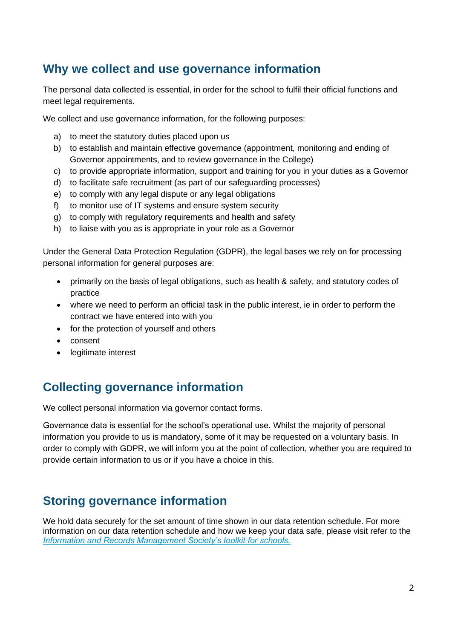# **Why we collect and use governance information**

The personal data collected is essential, in order for the school to fulfil their official functions and meet legal requirements.

We collect and use governance information, for the following purposes:

- a) to meet the statutory duties placed upon us
- b) to establish and maintain effective governance (appointment, monitoring and ending of Governor appointments, and to review governance in the College)
- c) to provide appropriate information, support and training for you in your duties as a Governor
- d) to facilitate safe recruitment (as part of our safeguarding processes)
- e) to comply with any legal dispute or any legal obligations
- f) to monitor use of IT systems and ensure system security
- g) to comply with regulatory requirements and health and safety
- h) to liaise with you as is appropriate in your role as a Governor

Under the General Data Protection Regulation (GDPR), the legal bases we rely on for processing personal information for general purposes are:

- primarily on the basis of legal obligations, such as health & safety, and statutory codes of practice
- where we need to perform an official task in the public interest, ie in order to perform the contract we have entered into with you
- for the protection of yourself and others
- consent
- legitimate interest

# **Collecting governance information**

We collect personal information via governor contact forms.

Governance data is essential for the school's operational use. Whilst the majority of personal information you provide to us is mandatory, some of it may be requested on a voluntary basis. In order to comply with GDPR, we will inform you at the point of collection, whether you are required to provide certain information to us or if you have a choice in this.

# **Storing governance information**

We hold data securely for the set amount of time shown in our data retention schedule. For more information on our data retention schedule and how we keep your data safe, please visit refer to the *[Information and Records Management Society's toolkit for schools](http://irms.org.uk/?page=schoolstoolkit&terms=%22toolkit+and+schools%22).*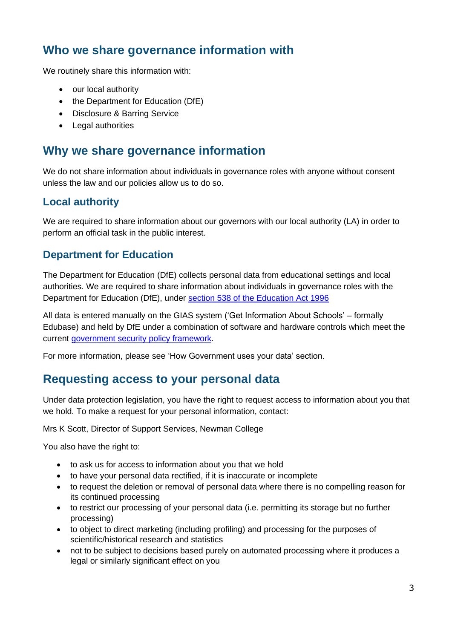# **Who we share governance information with**

We routinely share this information with:

- our local authority
- the Department for Education (DfE)
- Disclosure & Barring Service
- Legal authorities

### **Why we share governance information**

We do not share information about individuals in governance roles with anyone without consent unless the law and our policies allow us to do so.

#### **Local authority**

We are required to share information about our governors with our local authority (LA) in order to perform an official task in the public interest.

#### **Department for Education**

The Department for Education (DfE) collects personal data from educational settings and local authorities. We are required to share information about individuals in governance roles with the Department for Education (DfE), under [section 538 of the Education Act 1996](http://www.legislation.gov.uk/ukpga/1996/56/section/538)

All data is entered manually on the GIAS system ('Get Information About Schools' – formally Edubase) and held by DfE under a combination of software and hardware controls which meet the current [government security policy framework.](https://www.gov.uk/government/publications/security-policy-framework)

For more information, please see 'How Government uses your data' section.

## **Requesting access to your personal data**

Under data protection legislation, you have the right to request access to information about you that we hold. To make a request for your personal information, contact:

Mrs K Scott, Director of Support Services, Newman College

You also have the right to:

- to ask us for access to information about you that we hold
- to have your personal data rectified, if it is inaccurate or incomplete
- to request the deletion or removal of personal data where there is no compelling reason for its continued processing
- to restrict our processing of your personal data (i.e. permitting its storage but no further processing)
- to object to direct marketing (including profiling) and processing for the purposes of scientific/historical research and statistics
- not to be subject to decisions based purely on automated processing where it produces a legal or similarly significant effect on you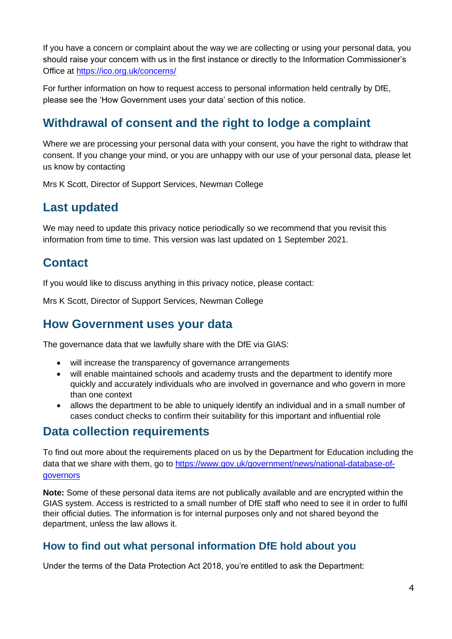If you have a concern or complaint about the way we are collecting or using your personal data, you should raise your concern with us in the first instance or directly to the Information Commissioner's Office at<https://ico.org.uk/concerns/>

For further information on how to request access to personal information held centrally by DfE, please see the 'How Government uses your data' section of this notice.

# **Withdrawal of consent and the right to lodge a complaint**

Where we are processing your personal data with your consent, you have the right to withdraw that consent. If you change your mind, or you are unhappy with our use of your personal data, please let us know by contacting

Mrs K Scott, Director of Support Services, Newman College

## **Last updated**

We may need to update this privacy notice periodically so we recommend that you revisit this information from time to time. This version was last updated on 1 September 2021.

## **Contact**

If you would like to discuss anything in this privacy notice, please contact:

Mrs K Scott, Director of Support Services, Newman College

### **How Government uses your data**

The governance data that we lawfully share with the DfE via GIAS:

- will increase the transparency of governance arrangements
- will enable maintained schools and academy trusts and the department to identify more quickly and accurately individuals who are involved in governance and who govern in more than one context
- allows the department to be able to uniquely identify an individual and in a small number of cases conduct checks to confirm their suitability for this important and influential role

## **Data collection requirements**

To find out more about the requirements placed on us by the Department for Education including the data that we share with them, go to [https://www.gov.uk/government/news/national-database-of](https://www.gov.uk/government/news/national-database-of-governors)[governors](https://www.gov.uk/government/news/national-database-of-governors)

**Note:** Some of these personal data items are not publically available and are encrypted within the GIAS system. Access is restricted to a small number of DfE staff who need to see it in order to fulfil their official duties. The information is for internal purposes only and not shared beyond the department, unless the law allows it.

#### **How to find out what personal information DfE hold about you**

Under the terms of the Data Protection Act 2018, you're entitled to ask the Department: